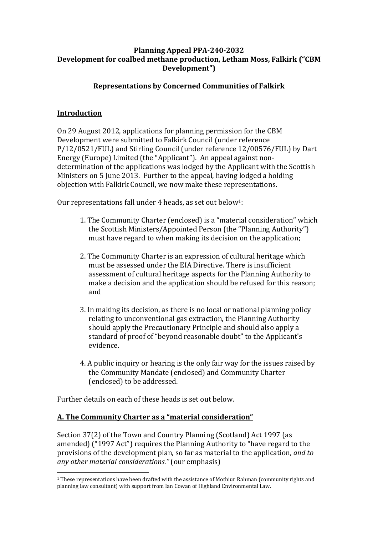## **Planning Appeal PPA-240-2032 Development for coalbed methane production, Letham Moss, Falkirk ("CBM Development")**

# **Representations by Concerned Communities of Falkirk**

### **Introduction**

On 29 August 2012, applications for planning permission for the CBM Development were submitted to Falkirk Council (under reference P/12/0521/FUL) and Stirling Council (under reference 12/00576/FUL) by Dart Energy (Europe) Limited (the "Applicant"). An appeal against nondetermination of the applications was lodged by the Applicant with the Scottish Ministers on 5 June 2013. Further to the appeal, having lodged a holding objection with Falkirk Council, we now make these representations.

Our representations fall under 4 heads, as set out below<sup>1</sup>:

- 1. The Community Charter (enclosed) is a "material consideration" which the Scottish Ministers/Appointed Person (the "Planning Authority") must have regard to when making its decision on the application;
- 2. The Community Charter is an expression of cultural heritage which must be assessed under the EIA Directive. There is insufficient assessment of cultural heritage aspects for the Planning Authority to make a decision and the application should be refused for this reason; and
- 3. In making its decision, as there is no local or national planning policy relating to unconventional gas extraction, the Planning Authority should apply the Precautionary Principle and should also apply a standard of proof of "beyond reasonable doubt" to the Applicant's evidence.
- 4. A public inquiry or hearing is the only fair way for the issues raised by the Community Mandate (enclosed) and Community Charter (enclosed) to be addressed.

Further details on each of these heads is set out below.

### **A.** The Community Charter as a "material consideration"

Section 37(2) of the Town and Country Planning (Scotland) Act 1997 (as amended) ("1997 Act") requires the Planning Authority to "have regard to the provisions of the development plan, so far as material to the application, *and to any other material considerations.*" (our emphasis)

 <sup>1</sup> These representations have been drafted with the assistance of Mothiur Rahman (community rights and planning law consultant) with support from Ian Cowan of Highland Environmental Law.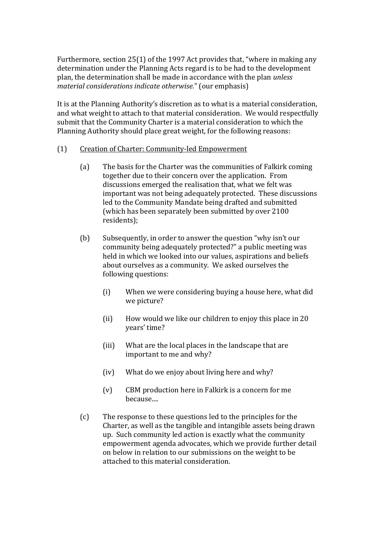Furthermore, section  $25(1)$  of the 1997 Act provides that, "where in making any determination under the Planning Acts regard is to be had to the development plan, the determination shall be made in accordance with the plan *unless material considerations indicate otherwise.*" (our emphasis)

It is at the Planning Authority's discretion as to what is a material consideration, and what weight to attach to that material consideration. We would respectfully submit that the Community Charter is a material consideration to which the Planning Authority should place great weight, for the following reasons:

#### (1) Creation of Charter: Community-led Empowerment

- (a) The basis for the Charter was the communities of Falkirk coming together due to their concern over the application. From discussions emerged the realisation that, what we felt was important was not being adequately protected. These discussions led to the Community Mandate being drafted and submitted (which has been separately been submitted by over 2100 residents);
- (b) Subsequently, in order to answer the question "why isn't our community being adequately protected?" a public meeting was held in which we looked into our values, aspirations and beliefs about ourselves as a community. We asked ourselves the following questions:
	- (i) When we were considering buying a house here, what did we picture?
	- (ii) How would we like our children to enjoy this place in 20 years' time?
	- (iii) What are the local places in the landscape that are important to me and why?
	- (iv) What do we enjoy about living here and why?
	- (v) CBM production here in Falkirk is a concern for me because....
- (c) The response to these questions led to the principles for the Charter, as well as the tangible and intangible assets being drawn up. Such community led action is exactly what the community empowerment agenda advocates, which we provide further detail on below in relation to our submissions on the weight to be attached to this material consideration.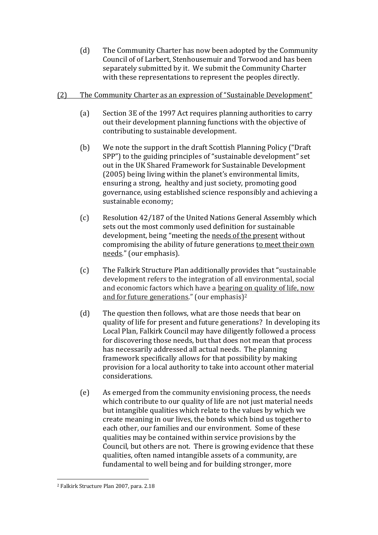(d) The Community Charter has now been adopted by the Community Council of of Larbert, Stenhousemuir and Torwood and has been separately submitted by it. We submit the Community Charter with these representations to represent the peoples directly.

#### (2) The Community Charter as an expression of "Sustainable Development"

- (a) Section 3E of the 1997 Act requires planning authorities to carry out their development planning functions with the objective of contributing to sustainable development.
- (b) We note the support in the draft Scottish Planning Policy ("Draft") SPP") to the guiding principles of "sustainable development" set out in the UK Shared Framework for Sustainable Development (2005) being living within the planet's environmental limits, ensuring a strong, healthy and just society, promoting good governance, using established science responsibly and achieving a sustainable economy;
- (c) Resolution 42/187 of the United Nations General Assembly which sets out the most commonly used definition for sustainable development, being "meeting the needs of the present without compromising the ability of future generations to meet their own needs." (our emphasis).
- (c) The Falkirk Structure Plan additionally provides that "sustainable development refers to the integration of all environmental, social and economic factors which have a bearing on quality of life, now and for future generations." (our emphasis)2
- (d) The question then follows, what are those needs that bear on quality of life for present and future generations? In developing its Local Plan, Falkirk Council may have diligently followed a process for discovering those needs, but that does not mean that process has necessarily addressed all actual needs. The planning framework specifically allows for that possibility by making provision for a local authority to take into account other material considerations.
- (e) As emerged from the community envisioning process, the needs which contribute to our quality of life are not just material needs but intangible qualities which relate to the values by which we create meaning in our lives, the bonds which bind us together to each other, our families and our environment. Some of these qualities may be contained within service provisions by the Council, but others are not. There is growing evidence that these qualities, often named intangible assets of a community, are fundamental to well being and for building stronger, more

 <sup>2</sup> Falkirk Structure Plan 2007, para. 2.18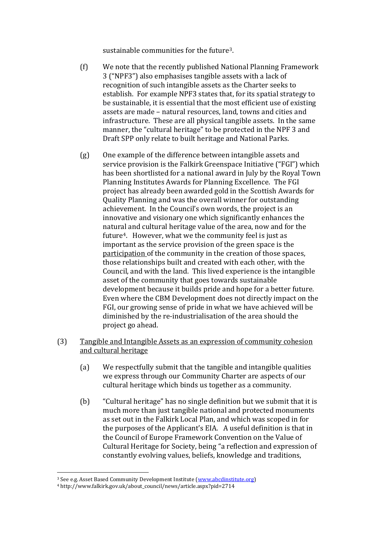sustainable communities for the future3.

- (f) We note that the recently published National Planning Framework 3 ("NPF3") also emphasises tangible assets with a lack of recognition of such intangible assets as the Charter seeks to establish. For example NPF3 states that, for its spatial strategy to be sustainable, it is essential that the most efficient use of existing assets are made – natural resources, land, towns and cities and infrastructure. These are all physical tangible assets. In the same manner, the "cultural heritage" to be protected in the NPF 3 and Draft SPP only relate to built heritage and National Parks.
- (g) One example of the difference between intangible assets and service provision is the Falkirk Greenspace Initiative ("FGI") which has been shortlisted for a national award in July by the Royal Town Planning Institutes Awards for Planning Excellence. The FGI project has already been awarded gold in the Scottish Awards for Quality Planning and was the overall winner for outstanding achievement. In the Council's own words, the project is an innovative and visionary one which significantly enhances the natural and cultural heritage value of the area, now and for the future4. However, what we the community feel is just as important as the service provision of the green space is the participation of the community in the creation of those spaces, those relationships built and created with each other, with the Council, and with the land. This lived experience is the intangible asset of the community that goes towards sustainable development because it builds pride and hope for a better future. Even where the CBM Development does not directly impact on the FGI, our growing sense of pride in what we have achieved will be diminished by the re-industrialisation of the area should the project go ahead.
- (3) Tangible and Intangible Assets as an expression of community cohesion and cultural heritage
	- (a) We respectfully submit that the tangible and intangible qualities we express through our Community Charter are aspects of our cultural heritage which binds us together as a community.
	- $(b)$  "Cultural heritage" has no single definition but we submit that it is much more than just tangible national and protected monuments as set out in the Falkirk Local Plan, and which was scoped in for the purposes of the Applicant's EIA. A useful definition is that in the Council of Europe Framework Convention on the Value of Cultural Heritage for Society, being "a reflection and expression of constantly evolving values, beliefs, knowledge and traditions,

 <sup>3</sup> See e.g. Asset Based Community Development Institute [\(www.abcdinstitute.org\)](http://www.abcdinstitute.org/)

<sup>4</sup> http://www.falkirk.gov.uk/about\_council/news/article.aspx?pid=2714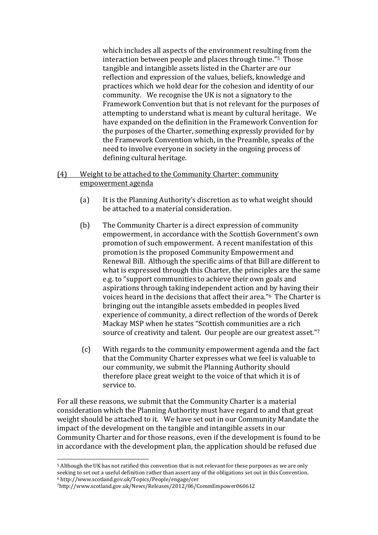which includes all aspects of the environment resulting from the interaction between people and places through time."5 Those tangible and intangible assets listed in the Charter are our reflection and expression of the values, beliefs, knowledge and practices which we hold dear for the cohesion and identity of our community. We recognise the UK is not a signatory to the Framework Convention but that is not relevant for the purposes of attempting to understand what is meant by cultural heritage. We have expanded on the definition in the Framework Convention for the purposes of the Charter, something expressly provided for by the Framework Convention which, in the Preamble, speaks of the need to involve everyone in society in the ongoing process of defining cultural heritage.

### (4) Weight to be attached to the Community Charter: community empowerment agenda

- (a) It is the Planning Authority's discretion as to what weight should be attached to a material consideration.
- (b) The Community Charter is a direct expression of community empowerment, in accordance with the Scottish Government's own promotion of such empowerment. A recent manifestation of this promotion is the proposed Community Empowerment and Renewal Bill. Although the specific aims of that Bill are different to what is expressed through this Charter, the principles are the same e.g. to "support communities to achieve their own goals and aspirations through taking independent action and by having their voices heard in the decisions that affect their area."<sup>6</sup> The Charter is bringing out the intangible assets embedded in peoples lived experience of community, a direct reflection of the words of Derek Mackay MSP when he states "Scottish communities are a rich source of creativity and talent. Our people are our greatest asset."7
- (c) With regards to the community empowerment agenda and the fact that the Community Charter expresses what we feel is valuable to our community, we submit the Planning Authority should therefore place great weight to the voice of that which it is of service to.

For all these reasons, we submit that the Community Charter is a material consideration which the Planning Authority must have regard to and that great weight should be attached to it. We have set out in our Community Mandate the impact of the development on the tangible and intangible assets in our Community Charter and for those reasons, even if the development is found to be in accordance with the development plan, the application should be refused due

 <sup>5</sup> Although the UK has not ratified this convention that is not relevant for these purposes as we are only seeking to set out a useful definition rather than assert any of the obligations set out in this Convention. <sup>6</sup> http://www.scotland.gov.uk/Topics/People/engage/cer

<sup>7</sup>http://www.scotland.gov.uk/News/Releases/2012/06/CommEmpower060612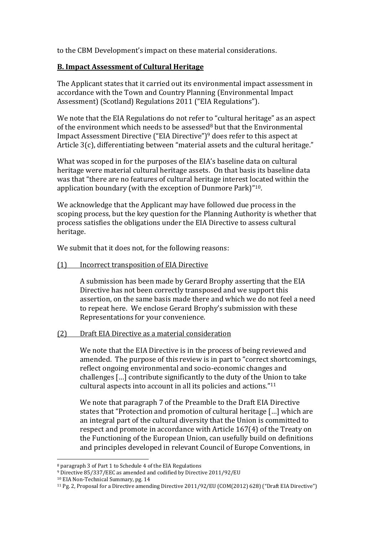to the CBM Development's impact on these material considerations.

### **B. Impact Assessment of Cultural Heritage**

The Applicant states that it carried out its environmental impact assessment in accordance with the Town and Country Planning (Environmental Impact Assessment) (Scotland) Regulations 2011 ("EIA Regulations").

We note that the EIA Regulations do not refer to "cultural heritage" as an aspect of the environment which needs to be assessed<sup>8</sup> but that the Environmental Impact Assessment Directive ("EIA Directive")<sup>9</sup> does refer to this aspect at Article  $3(c)$ , differentiating between "material assets and the cultural heritage."

What was scoped in for the purposes of the EIA's baseline data on cultural heritage were material cultural heritage assets. On that basis its baseline data was that "there are no features of cultural heritage interest located within the application boundary (with the exception of Dunmore Park)" $10$ .

We acknowledge that the Applicant may have followed due process in the scoping process, but the key question for the Planning Authority is whether that process satisfies the obligations under the EIA Directive to assess cultural heritage.

We submit that it does not, for the following reasons:

### (1) Incorrect transposition of EIA Directive

A submission has been made by Gerard Brophy asserting that the EIA Directive has not been correctly transposed and we support this assertion, on the same basis made there and which we do not feel a need to repeat here. We enclose Gerard Brophy's submission with these Representations for your convenience.

### (2) Draft EIA Directive as a material consideration

We note that the EIA Directive is in the process of being reviewed and amended. The purpose of this review is in part to "correct shortcomings, reflect ongoing environmental and socio-economic changes and challenges [...] contribute significantly to the duty of the Union to take cultural aspects into account in all its policies and actions." $11$ 

We note that paragraph 7 of the Preamble to the Draft EIA Directive states that "Protection and promotion of cultural heritage [...] which are an integral part of the cultural diversity that the Union is committed to respect and promote in accordance with Article 167(4) of the Treaty on the Functioning of the European Union, can usefully build on definitions and principles developed in relevant Council of Europe Conventions, in

 <sup>8</sup> paragraph 3 of Part 1 to Schedule 4 of the EIA Regulations

<sup>9</sup> Directive 85/337/EEC as amended and codified by Directive 2011/92/EU

<sup>10</sup> EIA Non-Technical Summary, pg. 14

<sup>&</sup>lt;sup>11</sup> Pg. 2, Proposal for a Directive amending Directive  $2011/92/EU$  (COM(2012) 628) ("Draft EIA Directive")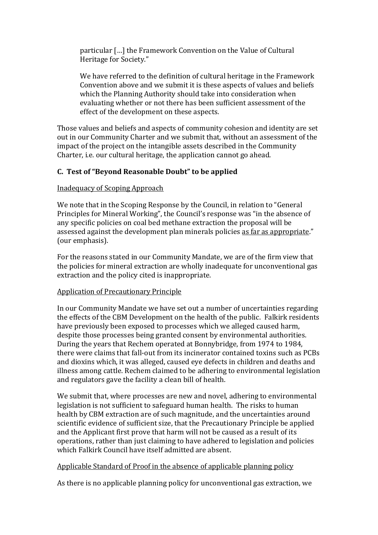particular [...] the Framework Convention on the Value of Cultural Heritage for Society."

We have referred to the definition of cultural heritage in the Framework Convention above and we submit it is these aspects of values and beliefs which the Planning Authority should take into consideration when evaluating whether or not there has been sufficient assessment of the effect of the development on these aspects.

Those values and beliefs and aspects of community cohesion and identity are set out in our Community Charter and we submit that, without an assessment of the impact of the project on the intangible assets described in the Community Charter, i.e. our cultural heritage, the application cannot go ahead.

## **C. Test of "Beyond Reasonable Doubt" to be applied**

### Inadequacy of Scoping Approach

We note that in the Scoping Response by the Council, in relation to "General Principles for Mineral Working", the Council's response was "in the absence of any specific policies on coal bed methane extraction the proposal will be assessed against the development plan minerals policies as far as appropriate." (our emphasis).

For the reasons stated in our Community Mandate, we are of the firm view that the policies for mineral extraction are wholly inadequate for unconventional gas extraction and the policy cited is inappropriate.

### Application of Precautionary Principle

In our Community Mandate we have set out a number of uncertainties regarding the effects of the CBM Development on the health of the public. Falkirk residents have previously been exposed to processes which we alleged caused harm, despite those processes being granted consent by environmental authorities. During the years that Rechem operated at Bonnybridge, from 1974 to 1984, there were claims that fall-out from its incinerator contained toxins such as PCBs and dioxins which, it was alleged, caused eye defects in children and deaths and illness among cattle. Rechem claimed to be adhering to environmental legislation and regulators gave the facility a clean bill of health.

We submit that, where processes are new and novel, adhering to environmental legislation is not sufficient to safeguard human health. The risks to human health by CBM extraction are of such magnitude, and the uncertainties around scientific evidence of sufficient size, that the Precautionary Principle be applied and the Applicant first prove that harm will not be caused as a result of its operations, rather than just claiming to have adhered to legislation and policies which Falkirk Council have itself admitted are absent.

### Applicable Standard of Proof in the absence of applicable planning policy

As there is no applicable planning policy for unconventional gas extraction, we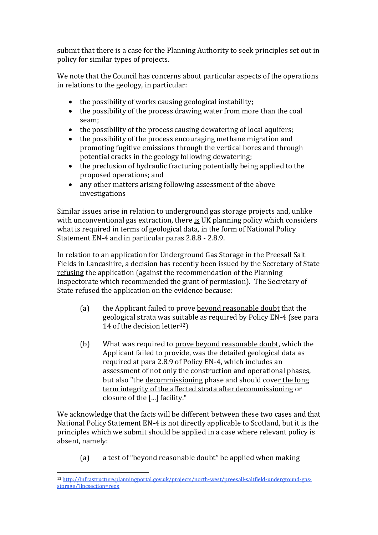submit that there is a case for the Planning Authority to seek principles set out in policy for similar types of projects.

We note that the Council has concerns about particular aspects of the operations in relations to the geology, in particular:

- $\bullet$  the possibility of works causing geological instability;
- the possibility of the process drawing water from more than the coal seam;
- the possibility of the process causing dewatering of local aquifers;
- the possibility of the process encouraging methane migration and promoting fugitive emissions through the vertical bores and through potential cracks in the geology following dewatering;
- the preclusion of hydraulic fracturing potentially being applied to the proposed operations; and
- any other matters arising following assessment of the above investigations

Similar issues arise in relation to underground gas storage projects and, unlike with unconventional gas extraction, there is UK planning policy which considers what is required in terms of geological data, in the form of National Policy Statement EN-4 and in particular paras 2.8.8 - 2.8.9.

In relation to an application for Underground Gas Storage in the Preesall Salt Fields in Lancashire, a decision has recently been issued by the Secretary of State refusing the application (against the recommendation of the Planning Inspectorate which recommended the grant of permission). The Secretary of State refused the application on the evidence because:

- (a) the Applicant failed to prove beyond reasonable doubt that the geological strata was suitable as required by Policy EN-4 (see para 14 of the decision letter<sup>12</sup>)
- (b) What was required to prove beyond reasonable doubt, which the Applicant failed to provide, was the detailed geological data as required at para 2.8.9 of Policy EN-4, which includes an assessment of not only the construction and operational phases, but also "the decommissioning phase and should cover the long term integrity of the affected strata after decommissioning or closure of the [...] facility."

We acknowledge that the facts will be different between these two cases and that National Policy Statement EN-4 is not directly applicable to Scotland, but it is the principles which we submit should be applied in a case where relevant policy is absent, namely:

(a) a test of "beyond reasonable doubt" be applied when making

 <sup>12</sup> [http://infrastructure.planningportal.gov.uk/projects/north-west/preesall-saltfield-underground-gas](http://infrastructure.planningportal.gov.uk/projects/north-west/preesall-saltfield-underground-gas-storage/?ipcsection=reps)[storage/?ipcsection=reps](http://infrastructure.planningportal.gov.uk/projects/north-west/preesall-saltfield-underground-gas-storage/?ipcsection=reps)